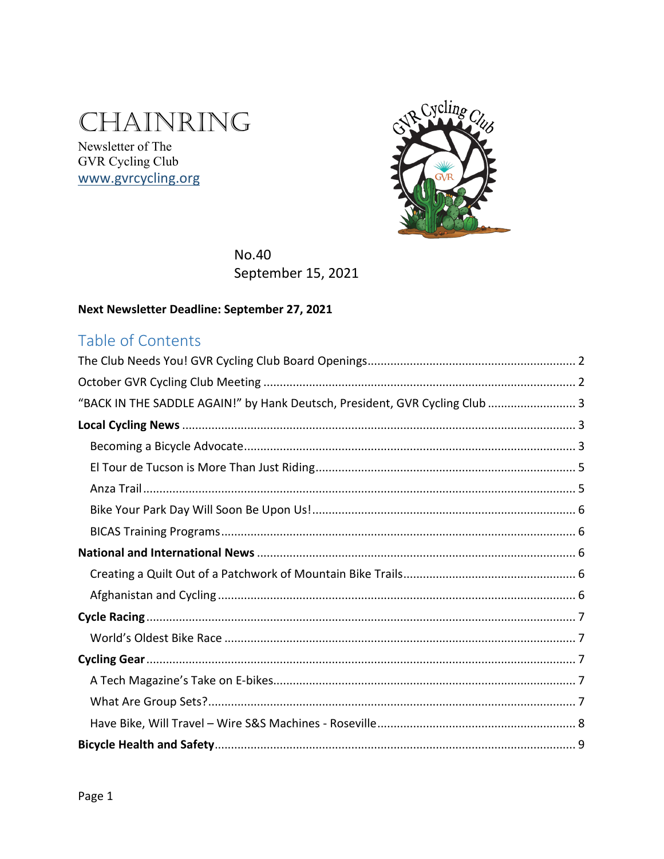# CHAINRING

Newsletter of The GVR Cycling Club www.gvrcycling.org



No.40 September 15, 2021

### Next Newsletter Deadline: September 27, 2021

### Table of Contents

| "BACK IN THE SADDLE AGAIN!" by Hank Deutsch, President, GVR Cycling Club  3 |
|-----------------------------------------------------------------------------|
|                                                                             |
|                                                                             |
|                                                                             |
|                                                                             |
|                                                                             |
|                                                                             |
|                                                                             |
|                                                                             |
|                                                                             |
|                                                                             |
|                                                                             |
|                                                                             |
|                                                                             |
|                                                                             |
|                                                                             |
|                                                                             |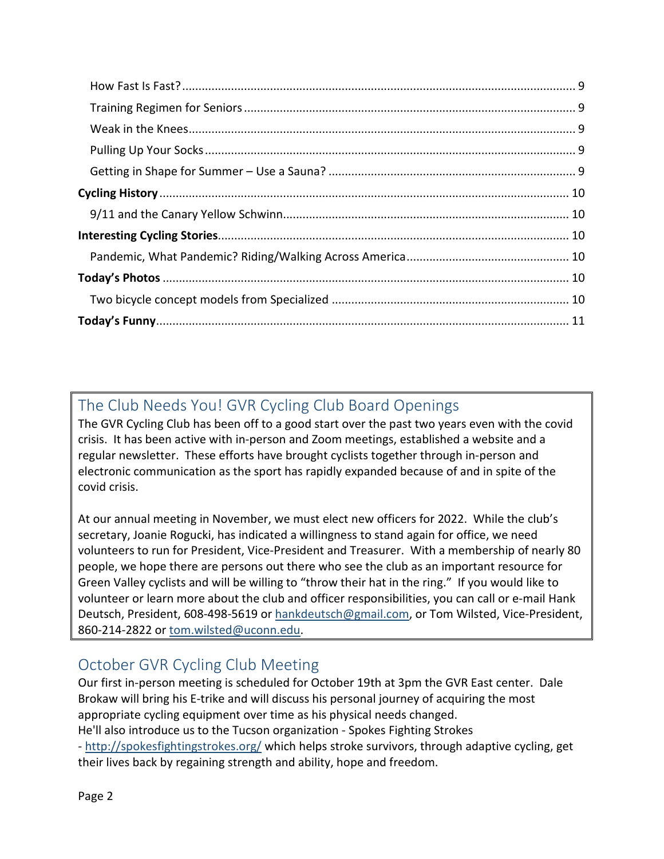# <span id="page-1-0"></span>The Club Needs You! GVR Cycling Club Board Openings

The GVR Cycling Club has been off to a good start over the past two years even with the covid crisis. It has been active with in-person and Zoom meetings, established a website and a regular newsletter. These efforts have brought cyclists together through in-person and electronic communication as the sport has rapidly expanded because of and in spite of the covid crisis.

At our annual meeting in November, we must elect new officers for 2022. While the club's secretary, Joanie Rogucki, has indicated a willingness to stand again for office, we need volunteers to run for President, Vice-President and Treasurer. With a membership of nearly 80 people, we hope there are persons out there who see the club as an important resource for Green Valley cyclists and will be willing to "throw their hat in the ring." If you would like to volunteer or learn more about the club and officer responsibilities, you can call or e-mail Hank Deutsch, President, 608-498-5619 o[r hankdeutsch@gmail.com,](mailto:hankdeutsch@gmail.com) or Tom Wilsted, Vice-President, 860-214-2822 or [tom.wilsted@uconn.edu.](mailto:tom.wilsted@uconn.edu)

## <span id="page-1-1"></span>October GVR Cycling Club Meeting

Our first in-person meeting is scheduled for October 19th at 3pm the GVR East center. Dale Brokaw will bring his E-trike and will discuss his personal journey of acquiring the most appropriate cycling equipment over time as his physical needs changed. He'll also introduce us to the Tucson organization - Spokes Fighting Strokes

- [http://spokesfightingstrokes.org/](https://nam10.safelinks.protection.outlook.com/?url=http%3A%2F%2Fspokesfightingstrokes.org%2F&data=04%7C01%7C%7Cada9d1b6fb0c42ee297308d9748b8853%7C17f1a87e2a254eaab9df9d439034b080%7C0%7C0%7C637668964900588596%7CUnknown%7CTWFpbGZsb3d8eyJWIjoiMC4wLjAwMDAiLCJQIjoiV2luMzIiLCJBTiI6Ik1haWwiLCJXVCI6Mn0%3D%7C1000&sdata=2FU1EUhUr5OmxK75sJH30S9S2ogIxwgflnS3Wzcyt5c%3D&reserved=0) which helps stroke survivors, through adaptive cycling, get their lives back by regaining strength and ability, hope and freedom.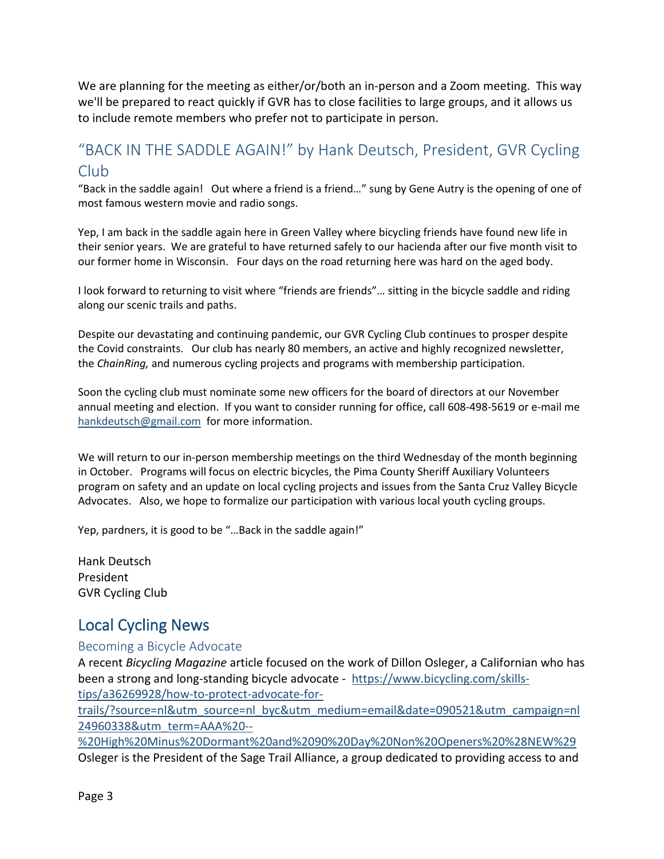We are planning for the meeting as either/or/both an in-person and a Zoom meeting. This way we'll be prepared to react quickly if GVR has to close facilities to large groups, and it allows us to include remote members who prefer not to participate in person.

### <span id="page-2-0"></span>"BACK IN THE SADDLE AGAIN!" by Hank Deutsch, President, GVR Cycling Club

"Back in the saddle again! Out where a friend is a friend…" sung by Gene Autry is the opening of one of most famous western movie and radio songs.

Yep, I am back in the saddle again here in Green Valley where bicycling friends have found new life in their senior years. We are grateful to have returned safely to our hacienda after our five month visit to our former home in Wisconsin. Four days on the road returning here was hard on the aged body.

I look forward to returning to visit where "friends are friends"… sitting in the bicycle saddle and riding along our scenic trails and paths.

Despite our devastating and continuing pandemic, our GVR Cycling Club continues to prosper despite the Covid constraints. Our club has nearly 80 members, an active and highly recognized newsletter, the *ChainRing,* and numerous cycling projects and programs with membership participation.

Soon the cycling club must nominate some new officers for the board of directors at our November annual meeting and election. If you want to consider running for office, call 608-498-5619 or e-mail me [hankdeutsch@gmail.com](mailto:hankdeutsch@gmail.com) for more information.

We will return to our in-person membership meetings on the third Wednesday of the month beginning in October. Programs will focus on electric bicycles, the Pima County Sheriff Auxiliary Volunteers program on safety and an update on local cycling projects and issues from the Santa Cruz Valley Bicycle Advocates. Also, we hope to formalize our participation with various local youth cycling groups.

Yep, pardners, it is good to be "…Back in the saddle again!"

Hank Deutsch President GVR Cycling Club

### <span id="page-2-1"></span>Local Cycling News

#### <span id="page-2-2"></span>Becoming a Bicycle Advocate

A recent *Bicycling Magazine* article focused on the work of Dillon Osleger, a Californian who has been a strong and long-standing bicycle advocate - [https://www.bicycling.com/skills](https://www.bicycling.com/skills-tips/a36269928/how-to-protect-advocate-for-trails/?source=nl&utm_source=nl_byc&utm_medium=email&date=090521&utm_campaign=nl24960338&utm_term=AAA%20--%20High%20Minus%20Dormant%20and%2090%20Day%20Non%20Openers%20%28NEW%29)[tips/a36269928/how-to-protect-advocate-for-](https://www.bicycling.com/skills-tips/a36269928/how-to-protect-advocate-for-trails/?source=nl&utm_source=nl_byc&utm_medium=email&date=090521&utm_campaign=nl24960338&utm_term=AAA%20--%20High%20Minus%20Dormant%20and%2090%20Day%20Non%20Openers%20%28NEW%29)

[trails/?source=nl&utm\\_source=nl\\_byc&utm\\_medium=email&date=090521&utm\\_campaign=nl](https://www.bicycling.com/skills-tips/a36269928/how-to-protect-advocate-for-trails/?source=nl&utm_source=nl_byc&utm_medium=email&date=090521&utm_campaign=nl24960338&utm_term=AAA%20--%20High%20Minus%20Dormant%20and%2090%20Day%20Non%20Openers%20%28NEW%29) [24960338&utm\\_term=AAA%20--](https://www.bicycling.com/skills-tips/a36269928/how-to-protect-advocate-for-trails/?source=nl&utm_source=nl_byc&utm_medium=email&date=090521&utm_campaign=nl24960338&utm_term=AAA%20--%20High%20Minus%20Dormant%20and%2090%20Day%20Non%20Openers%20%28NEW%29)

[%20High%20Minus%20Dormant%20and%2090%20Day%20Non%20Openers%20%28NEW%29](https://www.bicycling.com/skills-tips/a36269928/how-to-protect-advocate-for-trails/?source=nl&utm_source=nl_byc&utm_medium=email&date=090521&utm_campaign=nl24960338&utm_term=AAA%20--%20High%20Minus%20Dormant%20and%2090%20Day%20Non%20Openers%20%28NEW%29) Osleger is the President of the Sage Trail Alliance, a group dedicated to providing access to and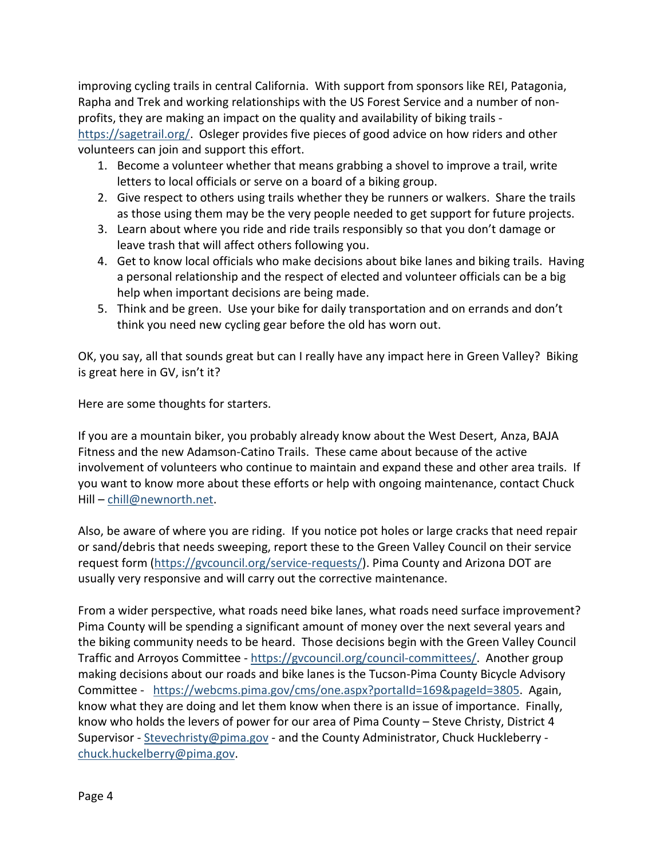improving cycling trails in central California. With support from sponsors like REI, Patagonia, Rapha and Trek and working relationships with the US Forest Service and a number of nonprofits, they are making an impact on the quality and availability of biking trails -

[https://sagetrail.org/.](https://sagetrail.org/) Osleger provides five pieces of good advice on how riders and other volunteers can join and support this effort.

- 1. Become a volunteer whether that means grabbing a shovel to improve a trail, write letters to local officials or serve on a board of a biking group.
- 2. Give respect to others using trails whether they be runners or walkers. Share the trails as those using them may be the very people needed to get support for future projects.
- 3. Learn about where you ride and ride trails responsibly so that you don't damage or leave trash that will affect others following you.
- 4. Get to know local officials who make decisions about bike lanes and biking trails. Having a personal relationship and the respect of elected and volunteer officials can be a big help when important decisions are being made.
- 5. Think and be green. Use your bike for daily transportation and on errands and don't think you need new cycling gear before the old has worn out.

OK, you say, all that sounds great but can I really have any impact here in Green Valley? Biking is great here in GV, isn't it?

Here are some thoughts for starters.

If you are a mountain biker, you probably already know about the West Desert, Anza, BAJA Fitness and the new Adamson-Catino Trails. These came about because of the active involvement of volunteers who continue to maintain and expand these and other area trails. If you want to know more about these efforts or help with ongoing maintenance, contact Chuck Hill – [chill@newnorth.net.](mailto:chill@newnorth.net)

Also, be aware of where you are riding. If you notice pot holes or large cracks that need repair or sand/debris that needs sweeping, report these to the Green Valley Council on their service request form [\(https://gvcouncil.org/service-requests/\)](https://gvcouncil.org/service-requests/). Pima County and Arizona DOT are usually very responsive and will carry out the corrective maintenance.

From a wider perspective, what roads need bike lanes, what roads need surface improvement? Pima County will be spending a significant amount of money over the next several years and the biking community needs to be heard. Those decisions begin with the Green Valley Council Traffic and Arroyos Committee - [https://gvcouncil.org/council-committees/.](https://gvcouncil.org/council-committees/) Another group making decisions about our roads and bike lanes is the Tucson-Pima County Bicycle Advisory Committee - [https://webcms.pima.gov/cms/one.aspx?portalId=169&pageId=3805.](https://webcms.pima.gov/cms/one.aspx?portalId=169&pageId=3805) Again, know what they are doing and let them know when there is an issue of importance. Finally, know who holds the levers of power for our area of Pima County – Steve Christy, District 4 Supervisor - [Stevechristy@pima.gov](mailto:Stevechristy@pima.gov) - and the County Administrator, Chuck Huckleberry [chuck.huckelberry@pima.gov.](mailto:chuck.huckelberry@pima.gov)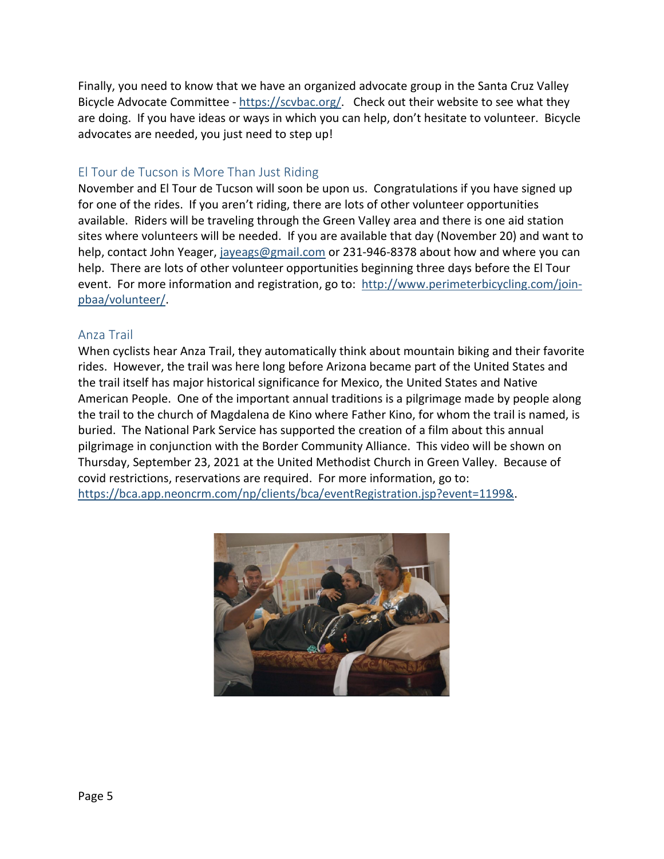Finally, you need to know that we have an organized advocate group in the Santa Cruz Valley Bicycle Advocate Committee - [https://scvbac.org/.](https://scvbac.org/) Check out their website to see what they are doing. If you have ideas or ways in which you can help, don't hesitate to volunteer. Bicycle advocates are needed, you just need to step up!

#### <span id="page-4-0"></span>El Tour de Tucson is More Than Just Riding

November and El Tour de Tucson will soon be upon us. Congratulations if you have signed up for one of the rides. If you aren't riding, there are lots of other volunteer opportunities available. Riders will be traveling through the Green Valley area and there is one aid station sites where volunteers will be needed. If you are available that day (November 20) and want to help, contact John Yeager, [jayeags@gmail.com](mailto:jayeags@gmail.com) or 231-946-8378 about how and where you can help. There are lots of other volunteer opportunities beginning three days before the El Tour event. For more information and registration, go to: [http://www.perimeterbicycling.com/join](http://www.perimeterbicycling.com/join-pbaa/volunteer/)[pbaa/volunteer/.](http://www.perimeterbicycling.com/join-pbaa/volunteer/)

#### <span id="page-4-1"></span>Anza Trail

When cyclists hear Anza Trail, they automatically think about mountain biking and their favorite rides. However, the trail was here long before Arizona became part of the United States and the trail itself has major historical significance for Mexico, the United States and Native American People. One of the important annual traditions is a pilgrimage made by people along the trail to the church of Magdalena de Kino where Father Kino, for whom the trail is named, is buried. The National Park Service has supported the creation of a film about this annual pilgrimage in conjunction with the Border Community Alliance. This video will be shown on Thursday, September 23, 2021 at the United Methodist Church in Green Valley. Because of covid restrictions, reservations are required. For more information, go to: [https://bca.app.neoncrm.com/np/clients/bca/eventRegistration.jsp?event=1199&.](https://bca.app.neoncrm.com/np/clients/bca/eventRegistration.jsp?event=1199&)

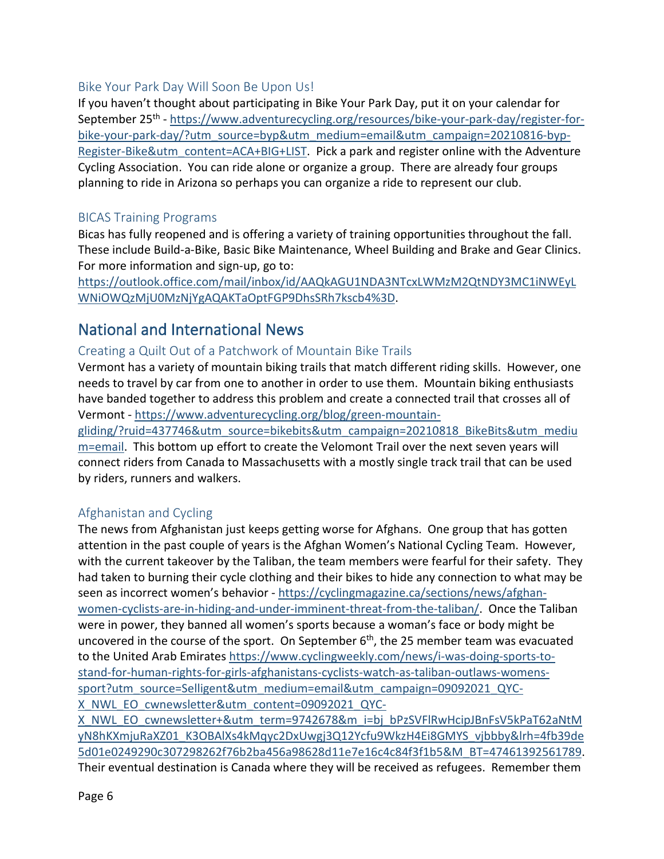#### <span id="page-5-0"></span>Bike Your Park Day Will Soon Be Upon Us!

If you haven't thought about participating in Bike Your Park Day, put it on your calendar for September 25<sup>th</sup> - [https://www.adventurecycling.org/resources/bike-your-park-day/register-for](https://www.adventurecycling.org/resources/bike-your-park-day/register-for-bike-your-park-day/?utm_source=byp&utm_medium=email&utm_campaign=20210816-byp-Register-Bike&utm_content=ACA+BIG+LIST)[bike-your-park-day/?utm\\_source=byp&utm\\_medium=email&utm\\_campaign=20210816-byp-](https://www.adventurecycling.org/resources/bike-your-park-day/register-for-bike-your-park-day/?utm_source=byp&utm_medium=email&utm_campaign=20210816-byp-Register-Bike&utm_content=ACA+BIG+LIST)[Register-Bike&utm\\_content=ACA+BIG+LIST.](https://www.adventurecycling.org/resources/bike-your-park-day/register-for-bike-your-park-day/?utm_source=byp&utm_medium=email&utm_campaign=20210816-byp-Register-Bike&utm_content=ACA+BIG+LIST) Pick a park and register online with the Adventure Cycling Association. You can ride alone or organize a group. There are already four groups planning to ride in Arizona so perhaps you can organize a ride to represent our club.

### <span id="page-5-1"></span>BICAS Training Programs

Bicas has fully reopened and is offering a variety of training opportunities throughout the fall. These include Build-a-Bike, Basic Bike Maintenance, Wheel Building and Brake and Gear Clinics. For more information and sign-up, go to:

[https://outlook.office.com/mail/inbox/id/AAQkAGU1NDA3NTcxLWMzM2QtNDY3MC1iNWEyL](https://outlook.office.com/mail/inbox/id/AAQkAGU1NDA3NTcxLWMzM2QtNDY3MC1iNWEyLWNiOWQzMjU0MzNjYgAQAKTaOptFGP9DhsSRh7kscb4%3D) [WNiOWQzMjU0MzNjYgAQAKTaOptFGP9DhsSRh7kscb4%3D.](https://outlook.office.com/mail/inbox/id/AAQkAGU1NDA3NTcxLWMzM2QtNDY3MC1iNWEyLWNiOWQzMjU0MzNjYgAQAKTaOptFGP9DhsSRh7kscb4%3D)

### <span id="page-5-2"></span>National and International News

### <span id="page-5-3"></span>Creating a Quilt Out of a Patchwork of Mountain Bike Trails

Vermont has a variety of mountain biking trails that match different riding skills. However, one needs to travel by car from one to another in order to use them. Mountain biking enthusiasts have banded together to address this problem and create a connected trail that crosses all of Vermont - [https://www.adventurecycling.org/blog/green-mountain-](https://www.adventurecycling.org/blog/green-mountain-gliding/?ruid=437746&utm_source=bikebits&utm_campaign=20210818_BikeBits&utm_medium=email)

[gliding/?ruid=437746&utm\\_source=bikebits&utm\\_campaign=20210818\\_BikeBits&utm\\_mediu](https://www.adventurecycling.org/blog/green-mountain-gliding/?ruid=437746&utm_source=bikebits&utm_campaign=20210818_BikeBits&utm_medium=email) [m=email.](https://www.adventurecycling.org/blog/green-mountain-gliding/?ruid=437746&utm_source=bikebits&utm_campaign=20210818_BikeBits&utm_medium=email) This bottom up effort to create the Velomont Trail over the next seven years will connect riders from Canada to Massachusetts with a mostly single track trail that can be used by riders, runners and walkers.

### <span id="page-5-4"></span>Afghanistan and Cycling

The news from Afghanistan just keeps getting worse for Afghans. One group that has gotten attention in the past couple of years is the Afghan Women's National Cycling Team. However, with the current takeover by the Taliban, the team members were fearful for their safety. They had taken to burning their cycle clothing and their bikes to hide any connection to what may be seen as incorrect women's behavior - [https://cyclingmagazine.ca/sections/news/afghan](https://cyclingmagazine.ca/sections/news/afghan-women-cyclists-are-in-hiding-and-under-imminent-threat-from-the-taliban/)[women-cyclists-are-in-hiding-and-under-imminent-threat-from-the-taliban/.](https://cyclingmagazine.ca/sections/news/afghan-women-cyclists-are-in-hiding-and-under-imminent-threat-from-the-taliban/) Once the Taliban were in power, they banned all women's sports because a woman's face or body might be uncovered in the course of the sport. On September  $6<sup>th</sup>$ , the 25 member team was evacuated to the United Arab Emirates [https://www.cyclingweekly.com/news/i-was-doing-sports-to](https://www.cyclingweekly.com/news/i-was-doing-sports-to-stand-for-human-rights-for-girls-afghanistans-cyclists-watch-as-taliban-outlaws-womens-sport?utm_source=Selligent&utm_medium=email&utm_campaign=09092021_QYC-X_NWL_EO_cwnewsletter&utm_content=09092021_QYC-X_NWL_EO_cwnewsletter+&utm_term=9742678&m_i=bj_bPzSVFlRwHcipJBnFsV5kPaT62aNtMyN8hKXmjuRaXZ01_K3OBAlXs4kMqyc2DxUwgj3Q12Ycfu9WkzH4Ei8GMYS_vjbbby&lrh=4fb39de5d01e0249290c307298262f76b2ba456a98628d11e7e16c4c84f3f1b5&M_BT=47461392561789)[stand-for-human-rights-for-girls-afghanistans-cyclists-watch-as-taliban-outlaws-womens](https://www.cyclingweekly.com/news/i-was-doing-sports-to-stand-for-human-rights-for-girls-afghanistans-cyclists-watch-as-taliban-outlaws-womens-sport?utm_source=Selligent&utm_medium=email&utm_campaign=09092021_QYC-X_NWL_EO_cwnewsletter&utm_content=09092021_QYC-X_NWL_EO_cwnewsletter+&utm_term=9742678&m_i=bj_bPzSVFlRwHcipJBnFsV5kPaT62aNtMyN8hKXmjuRaXZ01_K3OBAlXs4kMqyc2DxUwgj3Q12Ycfu9WkzH4Ei8GMYS_vjbbby&lrh=4fb39de5d01e0249290c307298262f76b2ba456a98628d11e7e16c4c84f3f1b5&M_BT=47461392561789)[sport?utm\\_source=Selligent&utm\\_medium=email&utm\\_campaign=09092021\\_QYC-](https://www.cyclingweekly.com/news/i-was-doing-sports-to-stand-for-human-rights-for-girls-afghanistans-cyclists-watch-as-taliban-outlaws-womens-sport?utm_source=Selligent&utm_medium=email&utm_campaign=09092021_QYC-X_NWL_EO_cwnewsletter&utm_content=09092021_QYC-X_NWL_EO_cwnewsletter+&utm_term=9742678&m_i=bj_bPzSVFlRwHcipJBnFsV5kPaT62aNtMyN8hKXmjuRaXZ01_K3OBAlXs4kMqyc2DxUwgj3Q12Ycfu9WkzH4Ei8GMYS_vjbbby&lrh=4fb39de5d01e0249290c307298262f76b2ba456a98628d11e7e16c4c84f3f1b5&M_BT=47461392561789)[X\\_NWL\\_EO\\_cwnewsletter&utm\\_content=09092021\\_QYC-](https://www.cyclingweekly.com/news/i-was-doing-sports-to-stand-for-human-rights-for-girls-afghanistans-cyclists-watch-as-taliban-outlaws-womens-sport?utm_source=Selligent&utm_medium=email&utm_campaign=09092021_QYC-X_NWL_EO_cwnewsletter&utm_content=09092021_QYC-X_NWL_EO_cwnewsletter+&utm_term=9742678&m_i=bj_bPzSVFlRwHcipJBnFsV5kPaT62aNtMyN8hKXmjuRaXZ01_K3OBAlXs4kMqyc2DxUwgj3Q12Ycfu9WkzH4Ei8GMYS_vjbbby&lrh=4fb39de5d01e0249290c307298262f76b2ba456a98628d11e7e16c4c84f3f1b5&M_BT=47461392561789)

[X\\_NWL\\_EO\\_cwnewsletter+&utm\\_term=9742678&m\\_i=bj\\_bPzSVFlRwHcipJBnFsV5kPaT62aNtM](https://www.cyclingweekly.com/news/i-was-doing-sports-to-stand-for-human-rights-for-girls-afghanistans-cyclists-watch-as-taliban-outlaws-womens-sport?utm_source=Selligent&utm_medium=email&utm_campaign=09092021_QYC-X_NWL_EO_cwnewsletter&utm_content=09092021_QYC-X_NWL_EO_cwnewsletter+&utm_term=9742678&m_i=bj_bPzSVFlRwHcipJBnFsV5kPaT62aNtMyN8hKXmjuRaXZ01_K3OBAlXs4kMqyc2DxUwgj3Q12Ycfu9WkzH4Ei8GMYS_vjbbby&lrh=4fb39de5d01e0249290c307298262f76b2ba456a98628d11e7e16c4c84f3f1b5&M_BT=47461392561789) [yN8hKXmjuRaXZ01\\_K3OBAlXs4kMqyc2DxUwgj3Q12Ycfu9WkzH4Ei8GMYS\\_vjbbby&lrh=4fb39de](https://www.cyclingweekly.com/news/i-was-doing-sports-to-stand-for-human-rights-for-girls-afghanistans-cyclists-watch-as-taliban-outlaws-womens-sport?utm_source=Selligent&utm_medium=email&utm_campaign=09092021_QYC-X_NWL_EO_cwnewsletter&utm_content=09092021_QYC-X_NWL_EO_cwnewsletter+&utm_term=9742678&m_i=bj_bPzSVFlRwHcipJBnFsV5kPaT62aNtMyN8hKXmjuRaXZ01_K3OBAlXs4kMqyc2DxUwgj3Q12Ycfu9WkzH4Ei8GMYS_vjbbby&lrh=4fb39de5d01e0249290c307298262f76b2ba456a98628d11e7e16c4c84f3f1b5&M_BT=47461392561789) [5d01e0249290c307298262f76b2ba456a98628d11e7e16c4c84f3f1b5&M\\_BT=47461392561789.](https://www.cyclingweekly.com/news/i-was-doing-sports-to-stand-for-human-rights-for-girls-afghanistans-cyclists-watch-as-taliban-outlaws-womens-sport?utm_source=Selligent&utm_medium=email&utm_campaign=09092021_QYC-X_NWL_EO_cwnewsletter&utm_content=09092021_QYC-X_NWL_EO_cwnewsletter+&utm_term=9742678&m_i=bj_bPzSVFlRwHcipJBnFsV5kPaT62aNtMyN8hKXmjuRaXZ01_K3OBAlXs4kMqyc2DxUwgj3Q12Ycfu9WkzH4Ei8GMYS_vjbbby&lrh=4fb39de5d01e0249290c307298262f76b2ba456a98628d11e7e16c4c84f3f1b5&M_BT=47461392561789) Their eventual destination is Canada where they will be received as refugees. Remember them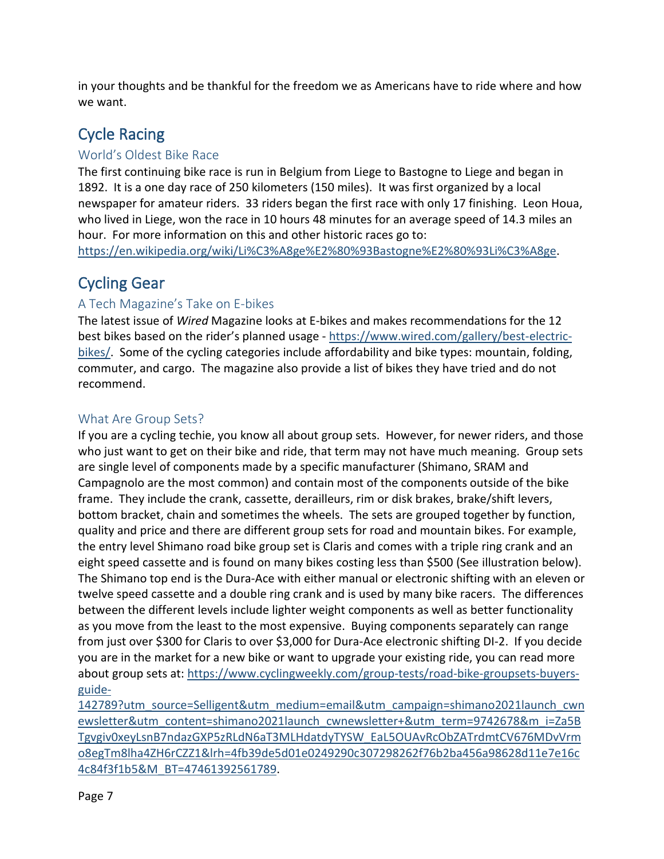in your thoughts and be thankful for the freedom we as Americans have to ride where and how we want.

# <span id="page-6-0"></span>Cycle Racing

### <span id="page-6-1"></span>World's Oldest Bike Race

The first continuing bike race is run in Belgium from Liege to Bastogne to Liege and began in 1892. It is a one day race of 250 kilometers (150 miles). It was first organized by a local newspaper for amateur riders. 33 riders began the first race with only 17 finishing. Leon Houa, who lived in Liege, won the race in 10 hours 48 minutes for an average speed of 14.3 miles an hour. For more information on this and other historic races go to:

[https://en.wikipedia.org/wiki/Li%C3%A8ge%E2%80%93Bastogne%E2%80%93Li%C3%A8ge.](https://en.wikipedia.org/wiki/Li%C3%A8ge%E2%80%93Bastogne%E2%80%93Li%C3%A8ge)

### <span id="page-6-2"></span>Cycling Gear

### <span id="page-6-3"></span>A Tech Magazine's Take on E-bikes

The latest issue of *Wired* Magazine looks at E-bikes and makes recommendations for the 12 best bikes based on the rider's planned usage - [https://www.wired.com/gallery/best-electric](https://www.wired.com/gallery/best-electric-bikes/)[bikes/.](https://www.wired.com/gallery/best-electric-bikes/) Some of the cycling categories include affordability and bike types: mountain, folding, commuter, and cargo. The magazine also provide a list of bikes they have tried and do not recommend.

### <span id="page-6-4"></span>What Are Group Sets?

If you are a cycling techie, you know all about group sets. However, for newer riders, and those who just want to get on their bike and ride, that term may not have much meaning. Group sets are single level of components made by a specific manufacturer (Shimano, SRAM and Campagnolo are the most common) and contain most of the components outside of the bike frame. They include the crank, cassette, derailleurs, rim or disk brakes, brake/shift levers, bottom bracket, chain and sometimes the wheels. The sets are grouped together by function, quality and price and there are different group sets for road and mountain bikes. For example, the entry level Shimano road bike group set is Claris and comes with a triple ring crank and an eight speed cassette and is found on many bikes costing less than \$500 (See illustration below). The Shimano top end is the Dura-Ace with either manual or electronic shifting with an eleven or twelve speed cassette and a double ring crank and is used by many bike racers. The differences between the different levels include lighter weight components as well as better functionality as you move from the least to the most expensive. Buying components separately can range from just over \$300 for Claris to over \$3,000 for Dura-Ace electronic shifting DI-2. If you decide you are in the market for a new bike or want to upgrade your existing ride, you can read more about group sets at[: https://www.cyclingweekly.com/group-tests/road-bike-groupsets-buyers](https://www.cyclingweekly.com/group-tests/road-bike-groupsets-buyers-guide-142789?utm_source=Selligent&utm_medium=email&utm_campaign=shimano2021launch_cwnewsletter&utm_content=shimano2021launch_cwnewsletter+&utm_term=9742678&m_i=Za5BTgvgiv0xeyLsnB7ndazGXP5zRLdN6aT3MLHdatdyTYSW_EaL5OUAvRcObZATrdmtCV676MDvVrmo8egTm8lha4ZH6rCZZ1&lrh=4fb39de5d01e0249290c307298262f76b2ba456a98628d11e7e16c4c84f3f1b5&M_BT=47461392561789)[guide-](https://www.cyclingweekly.com/group-tests/road-bike-groupsets-buyers-guide-142789?utm_source=Selligent&utm_medium=email&utm_campaign=shimano2021launch_cwnewsletter&utm_content=shimano2021launch_cwnewsletter+&utm_term=9742678&m_i=Za5BTgvgiv0xeyLsnB7ndazGXP5zRLdN6aT3MLHdatdyTYSW_EaL5OUAvRcObZATrdmtCV676MDvVrmo8egTm8lha4ZH6rCZZ1&lrh=4fb39de5d01e0249290c307298262f76b2ba456a98628d11e7e16c4c84f3f1b5&M_BT=47461392561789)

[142789?utm\\_source=Selligent&utm\\_medium=email&utm\\_campaign=shimano2021launch\\_cwn](https://www.cyclingweekly.com/group-tests/road-bike-groupsets-buyers-guide-142789?utm_source=Selligent&utm_medium=email&utm_campaign=shimano2021launch_cwnewsletter&utm_content=shimano2021launch_cwnewsletter+&utm_term=9742678&m_i=Za5BTgvgiv0xeyLsnB7ndazGXP5zRLdN6aT3MLHdatdyTYSW_EaL5OUAvRcObZATrdmtCV676MDvVrmo8egTm8lha4ZH6rCZZ1&lrh=4fb39de5d01e0249290c307298262f76b2ba456a98628d11e7e16c4c84f3f1b5&M_BT=47461392561789) [ewsletter&utm\\_content=shimano2021launch\\_cwnewsletter+&utm\\_term=9742678&m\\_i=Za5B](https://www.cyclingweekly.com/group-tests/road-bike-groupsets-buyers-guide-142789?utm_source=Selligent&utm_medium=email&utm_campaign=shimano2021launch_cwnewsletter&utm_content=shimano2021launch_cwnewsletter+&utm_term=9742678&m_i=Za5BTgvgiv0xeyLsnB7ndazGXP5zRLdN6aT3MLHdatdyTYSW_EaL5OUAvRcObZATrdmtCV676MDvVrmo8egTm8lha4ZH6rCZZ1&lrh=4fb39de5d01e0249290c307298262f76b2ba456a98628d11e7e16c4c84f3f1b5&M_BT=47461392561789) [Tgvgiv0xeyLsnB7ndazGXP5zRLdN6aT3MLHdatdyTYSW\\_EaL5OUAvRcObZATrdmtCV676MDvVrm](https://www.cyclingweekly.com/group-tests/road-bike-groupsets-buyers-guide-142789?utm_source=Selligent&utm_medium=email&utm_campaign=shimano2021launch_cwnewsletter&utm_content=shimano2021launch_cwnewsletter+&utm_term=9742678&m_i=Za5BTgvgiv0xeyLsnB7ndazGXP5zRLdN6aT3MLHdatdyTYSW_EaL5OUAvRcObZATrdmtCV676MDvVrmo8egTm8lha4ZH6rCZZ1&lrh=4fb39de5d01e0249290c307298262f76b2ba456a98628d11e7e16c4c84f3f1b5&M_BT=47461392561789) [o8egTm8lha4ZH6rCZZ1&lrh=4fb39de5d01e0249290c307298262f76b2ba456a98628d11e7e16c](https://www.cyclingweekly.com/group-tests/road-bike-groupsets-buyers-guide-142789?utm_source=Selligent&utm_medium=email&utm_campaign=shimano2021launch_cwnewsletter&utm_content=shimano2021launch_cwnewsletter+&utm_term=9742678&m_i=Za5BTgvgiv0xeyLsnB7ndazGXP5zRLdN6aT3MLHdatdyTYSW_EaL5OUAvRcObZATrdmtCV676MDvVrmo8egTm8lha4ZH6rCZZ1&lrh=4fb39de5d01e0249290c307298262f76b2ba456a98628d11e7e16c4c84f3f1b5&M_BT=47461392561789) [4c84f3f1b5&M\\_BT=47461392561789.](https://www.cyclingweekly.com/group-tests/road-bike-groupsets-buyers-guide-142789?utm_source=Selligent&utm_medium=email&utm_campaign=shimano2021launch_cwnewsletter&utm_content=shimano2021launch_cwnewsletter+&utm_term=9742678&m_i=Za5BTgvgiv0xeyLsnB7ndazGXP5zRLdN6aT3MLHdatdyTYSW_EaL5OUAvRcObZATrdmtCV676MDvVrmo8egTm8lha4ZH6rCZZ1&lrh=4fb39de5d01e0249290c307298262f76b2ba456a98628d11e7e16c4c84f3f1b5&M_BT=47461392561789)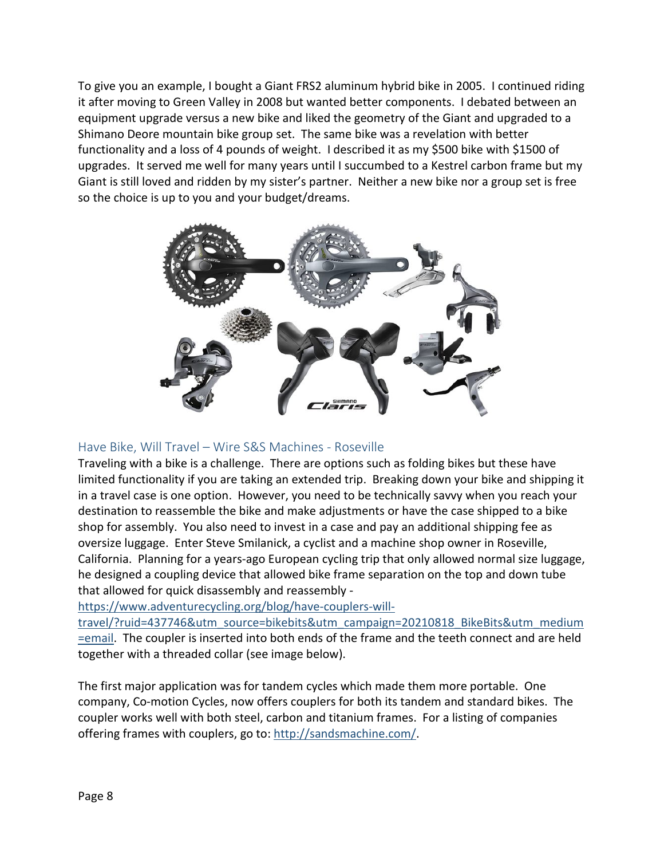To give you an example, I bought a Giant FRS2 aluminum hybrid bike in 2005. I continued riding it after moving to Green Valley in 2008 but wanted better components. I debated between an equipment upgrade versus a new bike and liked the geometry of the Giant and upgraded to a Shimano Deore mountain bike group set. The same bike was a revelation with better functionality and a loss of 4 pounds of weight. I described it as my \$500 bike with \$1500 of upgrades. It served me well for many years until I succumbed to a Kestrel carbon frame but my Giant is still loved and ridden by my sister's partner. Neither a new bike nor a group set is free so the choice is up to you and your budget/dreams.



### <span id="page-7-0"></span>Have Bike, Will Travel – Wire S&S Machines - Roseville

Traveling with a bike is a challenge. There are options such as folding bikes but these have limited functionality if you are taking an extended trip. Breaking down your bike and shipping it in a travel case is one option. However, you need to be technically savvy when you reach your destination to reassemble the bike and make adjustments or have the case shipped to a bike shop for assembly. You also need to invest in a case and pay an additional shipping fee as oversize luggage. Enter Steve Smilanick, a cyclist and a machine shop owner in Roseville, California. Planning for a years-ago European cycling trip that only allowed normal size luggage, he designed a coupling device that allowed bike frame separation on the top and down tube that allowed for quick disassembly and reassembly -

[https://www.adventurecycling.org/blog/have-couplers-will-](https://www.adventurecycling.org/blog/have-couplers-will-travel/?ruid=437746&utm_source=bikebits&utm_campaign=20210818_BikeBits&utm_medium=email)

[travel/?ruid=437746&utm\\_source=bikebits&utm\\_campaign=20210818\\_BikeBits&utm\\_medium](https://www.adventurecycling.org/blog/have-couplers-will-travel/?ruid=437746&utm_source=bikebits&utm_campaign=20210818_BikeBits&utm_medium=email) [=email.](https://www.adventurecycling.org/blog/have-couplers-will-travel/?ruid=437746&utm_source=bikebits&utm_campaign=20210818_BikeBits&utm_medium=email) The coupler is inserted into both ends of the frame and the teeth connect and are held together with a threaded collar (see image below).

The first major application was for tandem cycles which made them more portable. One company, Co-motion Cycles, now offers couplers for both its tandem and standard bikes. The coupler works well with both steel, carbon and titanium frames. For a listing of companies offering frames with couplers, go to: [http://sandsmachine.com/.](http://sandsmachine.com/)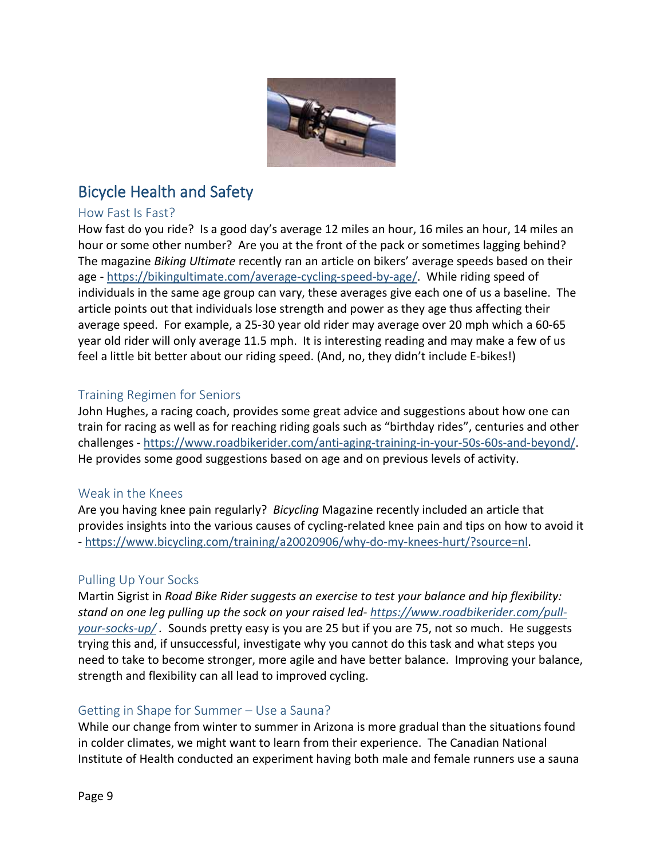

## <span id="page-8-0"></span>Bicycle Health and Safety

#### <span id="page-8-1"></span>How Fast Is Fast?

How fast do you ride? Is a good day's average 12 miles an hour, 16 miles an hour, 14 miles an hour or some other number? Are you at the front of the pack or sometimes lagging behind? The magazine *Biking Ultimate* recently ran an article on bikers' average speeds based on their age - [https://bikingultimate.com/average-cycling-speed-by-age/.](https://bikingultimate.com/average-cycling-speed-by-age/) While riding speed of individuals in the same age group can vary, these averages give each one of us a baseline. The article points out that individuals lose strength and power as they age thus affecting their average speed. For example, a 25-30 year old rider may average over 20 mph which a 60-65 year old rider will only average 11.5 mph. It is interesting reading and may make a few of us feel a little bit better about our riding speed. (And, no, they didn't include E-bikes!)

### <span id="page-8-2"></span>Training Regimen for Seniors

John Hughes, a racing coach, provides some great advice and suggestions about how one can train for racing as well as for reaching riding goals such as "birthday rides", centuries and other challenges - [https://www.roadbikerider.com/anti-aging-training-in-your-50s-60s-and-beyond/.](https://www.roadbikerider.com/anti-aging-training-in-your-50s-60s-and-beyond/) He provides some good suggestions based on age and on previous levels of activity.

#### <span id="page-8-3"></span>Weak in the Knees

Are you having knee pain regularly? *Bicycling* Magazine recently included an article that provides insights into the various causes of cycling-related knee pain and tips on how to avoid it - [https://www.bicycling.com/training/a20020906/why-do-my-knees-hurt/?source=nl.](https://www.bicycling.com/training/a20020906/why-do-my-knees-hurt/?source=nl)

#### <span id="page-8-4"></span>Pulling Up Your Socks

Martin Sigrist in *Road Bike Rider suggests an exercise to test your balance and hip flexibility: stand on one leg pulling up the sock on your raised led- [https://www.roadbikerider.com/pull](https://www.roadbikerider.com/pull-your-socks-up/)[your-socks-up/](https://www.roadbikerider.com/pull-your-socks-up/) .* Sounds pretty easy is you are 25 but if you are 75, not so much. He suggests trying this and, if unsuccessful, investigate why you cannot do this task and what steps you need to take to become stronger, more agile and have better balance. Improving your balance, strength and flexibility can all lead to improved cycling.

#### <span id="page-8-5"></span>Getting in Shape for Summer – Use a Sauna?

While our change from winter to summer in Arizona is more gradual than the situations found in colder climates, we might want to learn from their experience. The Canadian National Institute of Health conducted an experiment having both male and female runners use a sauna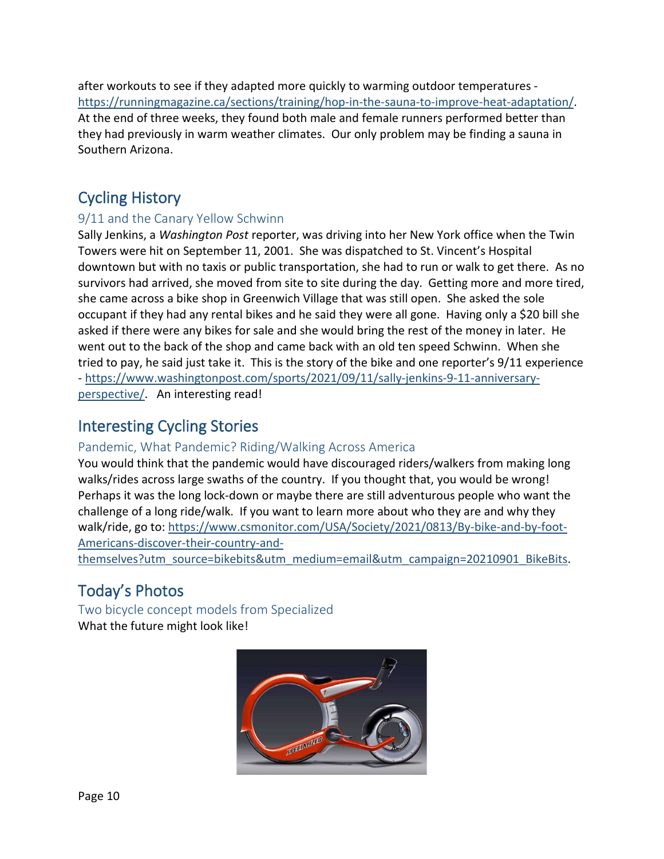after workouts to see if they adapted more quickly to warming outdoor temperatures [https://runningmagazine.ca/sections/training/hop-in-the-sauna-to-improve-heat-adaptation/.](https://runningmagazine.ca/sections/training/hop-in-the-sauna-to-improve-heat-adaptation/) At the end of three weeks, they found both male and female runners performed better than they had previously in warm weather climates. Our only problem may be finding a sauna in Southern Arizona.

### <span id="page-9-0"></span>Cycling History

### <span id="page-9-1"></span>9/11 and the Canary Yellow Schwinn

Sally Jenkins, a *Washington Post* reporter, was driving into her New York office when the Twin Towers were hit on September 11, 2001. She was dispatched to St. Vincent's Hospital downtown but with no taxis or public transportation, she had to run or walk to get there. As no survivors had arrived, she moved from site to site during the day. Getting more and more tired, she came across a bike shop in Greenwich Village that was still open. She asked the sole occupant if they had any rental bikes and he said they were all gone. Having only a \$20 bill she asked if there were any bikes for sale and she would bring the rest of the money in later. He went out to the back of the shop and came back with an old ten speed Schwinn. When she tried to pay, he said just take it. This is the story of the bike and one reporter's 9/11 experience - [https://www.washingtonpost.com/sports/2021/09/11/sally-jenkins-9-11-anniversary](https://www.washingtonpost.com/sports/2021/09/11/sally-jenkins-9-11-anniversary-perspective/)[perspective/.](https://www.washingtonpost.com/sports/2021/09/11/sally-jenkins-9-11-anniversary-perspective/) An interesting read!

### <span id="page-9-2"></span>Interesting Cycling Stories

### <span id="page-9-3"></span>Pandemic, What Pandemic? Riding/Walking Across America

You would think that the pandemic would have discouraged riders/walkers from making long walks/rides across large swaths of the country. If you thought that, you would be wrong! Perhaps it was the long lock-down or maybe there are still adventurous people who want the challenge of a long ride/walk. If you want to learn more about who they are and why they walk/ride, go to: [https://www.csmonitor.com/USA/Society/2021/0813/By-bike-and-by-foot-](https://www.csmonitor.com/USA/Society/2021/0813/By-bike-and-by-foot-Americans-discover-their-country-and-themselves?utm_source=bikebits&utm_medium=email&utm_campaign=20210901_BikeBits)[Americans-discover-their-country-and-](https://www.csmonitor.com/USA/Society/2021/0813/By-bike-and-by-foot-Americans-discover-their-country-and-themselves?utm_source=bikebits&utm_medium=email&utm_campaign=20210901_BikeBits)

<span id="page-9-4"></span>[themselves?utm\\_source=bikebits&utm\\_medium=email&utm\\_campaign=20210901\\_BikeBits.](https://www.csmonitor.com/USA/Society/2021/0813/By-bike-and-by-foot-Americans-discover-their-country-and-themselves?utm_source=bikebits&utm_medium=email&utm_campaign=20210901_BikeBits)

# Today's Photos

<span id="page-9-5"></span>Two bicycle concept models from Specialized What the future might look like!